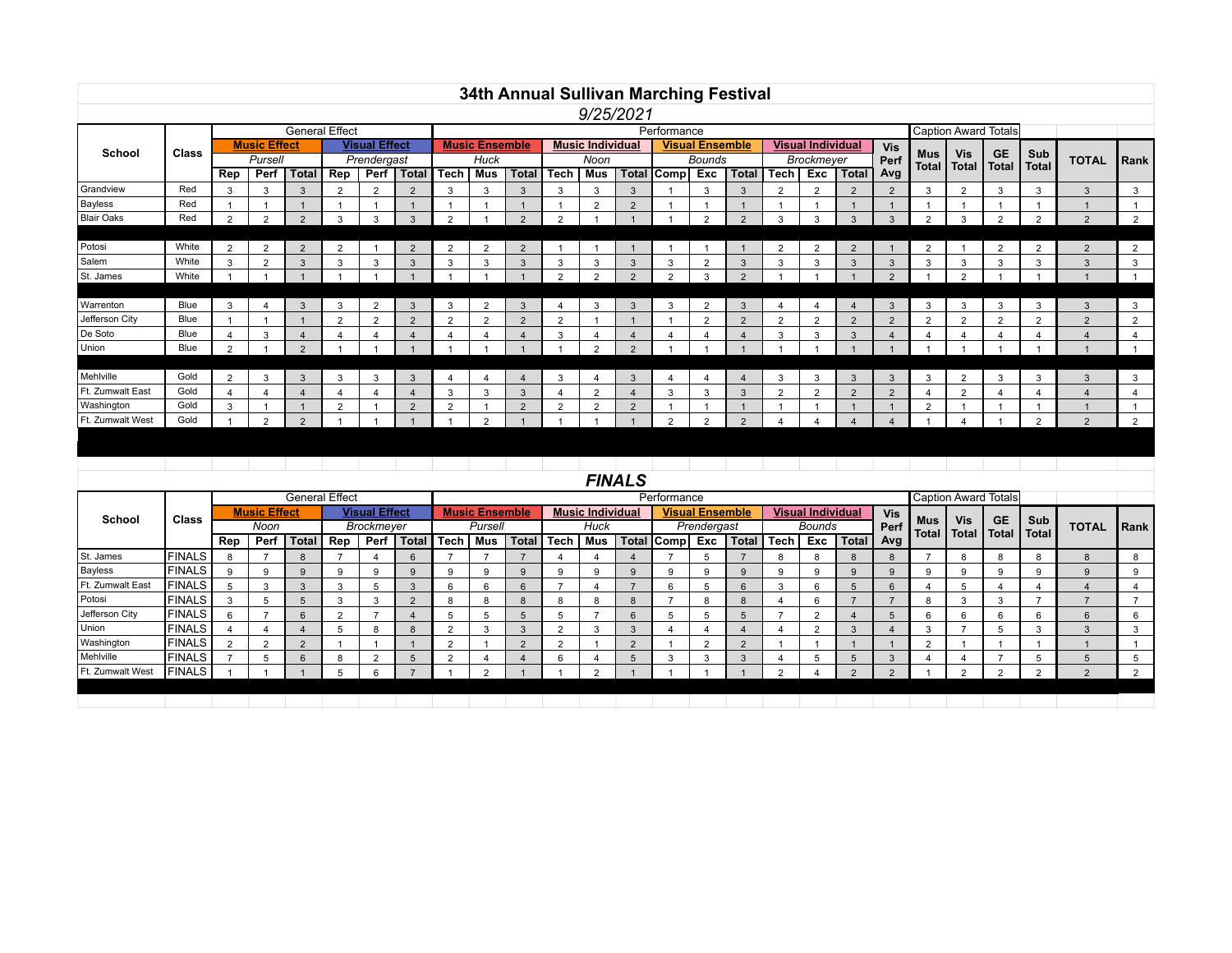|                   |                               |                |                     |                       |                |                      |                |                |                       |              |                |                         |                | 34th Annual Sullivan Marching Festival |                        |                |                |                          |                |                |                     |                            |                             |                |                         |                |
|-------------------|-------------------------------|----------------|---------------------|-----------------------|----------------|----------------------|----------------|----------------|-----------------------|--------------|----------------|-------------------------|----------------|----------------------------------------|------------------------|----------------|----------------|--------------------------|----------------|----------------|---------------------|----------------------------|-----------------------------|----------------|-------------------------|----------------|
|                   |                               |                |                     |                       |                |                      |                |                |                       |              |                | 9/25/2021               |                |                                        |                        |                |                |                          |                |                |                     |                            |                             |                |                         |                |
|                   |                               |                |                     | <b>General Effect</b> |                |                      |                |                |                       |              |                |                         |                | Performance                            |                        |                |                |                          |                |                |                     |                            | <b>Caption Award Totals</b> |                |                         |                |
|                   |                               |                | <b>Music Effect</b> |                       |                | <b>Visual Effect</b> |                |                | <b>Music Ensemble</b> |              |                | <b>Music Individual</b> |                |                                        | <b>Visual Ensemble</b> |                |                | <b>Visual Individual</b> |                | Vis            |                     |                            |                             |                |                         |                |
|                   | <b>School</b><br><b>Class</b> |                | Pursell             |                       |                | Prendergast          |                |                | Huck                  |              |                | Noon                    |                |                                        | Bounds                 |                |                | Brockmeyer               |                |                | Mus<br><b>Total</b> | <b>Vis</b><br><b>Total</b> | <b>GE</b><br><b>Total</b>   | Sub<br>Total   | <b>TOTAL</b>            | Rank           |
|                   |                               | Rep            | Perf                | <b>Total</b>          | Rep            |                      | Perf   Total   | <b>Tech</b>    | <b>Mus</b>            | <b>Total</b> | Tech           | Mus                     | <b>Total</b>   | Comp                                   | Exc                    | <b>Total</b>   | <b>Tech</b>    | Exc                      | <b>Total</b>   | Avg            |                     |                            |                             |                |                         |                |
| Grandview         | Red                           | 3              | 3                   | 3                     | $\overline{2}$ | $\overline{2}$       | $\overline{2}$ | 3              | 3                     |              | 3              | 3                       | 3              |                                        | 3                      | 3              | $\overline{2}$ | $\overline{2}$           | $\overline{2}$ | $\overline{2}$ | 3                   | $\overline{2}$             | 3                           | 3              | $\mathbf{3}$            | 3              |
| Bayless           | Red                           |                |                     |                       |                |                      |                |                | $\overline{1}$        |              |                | $\overline{2}$          | 2              |                                        |                        | $\mathbf{1}$   |                |                          |                |                |                     |                            |                             |                |                         |                |
| <b>Blair Oaks</b> | Red                           | $\overline{2}$ | $\overline{2}$      | 2                     | 3              | 3                    | 3              | $\Omega$       |                       | $\Omega$     | $\overline{2}$ |                         |                |                                        | 2                      | 2              | 3              | 3                        | 3              | $\mathcal{R}$  | $\mathcal{D}$       | 3                          | $\overline{2}$              | $\overline{2}$ | 2                       | $\overline{2}$ |
|                   |                               |                |                     |                       |                |                      |                |                |                       |              |                |                         |                |                                        |                        |                |                |                          |                |                |                     |                            |                             |                |                         |                |
| Potosi            | White                         | $\overline{2}$ | $\overline{2}$      | $\overline{2}$        | $\overline{2}$ |                      | $\overline{2}$ | 2              | $\overline{2}$        | 2            |                |                         |                |                                        |                        |                | 2              | $\overline{2}$           | $\overline{2}$ |                | 2                   |                            | $\overline{2}$              | $\overline{2}$ | $\overline{2}$          | $\overline{2}$ |
| Salem             | White                         | 3              | $\overline{2}$      | 3                     | 3              | 3                    | 3              | 3              | 3                     | 3            | 3              | 3                       | 3              | 3                                      | $\overline{2}$         | 3              | 3              | 3                        | 3              | 3              | 3                   | 3                          | 3                           | 3              | 3                       | 3              |
| St. James         | White                         |                |                     |                       |                |                      |                |                |                       |              | $\overline{2}$ | $\overline{2}$          | $\overline{2}$ | 2                                      | 3                      | 2              |                |                          |                | $\overline{2}$ |                     | $\overline{2}$             |                             |                |                         |                |
|                   |                               |                |                     |                       |                |                      |                |                |                       |              |                |                         |                |                                        |                        |                |                |                          |                |                |                     |                            |                             |                |                         |                |
| Warrenton         | Blue                          | 3              | $\overline{4}$      | 3                     | 3              | $\overline{2}$       | $\mathbf{3}$   | 3              | 2                     | 3            | 4              | 3                       | 3              | 3                                      | $\overline{2}$         | 3              | 4              | 4                        | $\overline{4}$ | 3              | 3                   | 3                          | 3                           | 3              | 3                       | 3              |
| Jefferson City    | Blue                          |                |                     |                       | $\overline{2}$ | $\Omega$             | $\overline{2}$ | $\overline{2}$ | 2                     | 2            | $\overline{2}$ |                         |                |                                        | $\overline{2}$         | 2              | $\overline{2}$ | 2                        | $\Omega$       | $\overline{2}$ | $\overline{2}$      | $\overline{2}$             | $\overline{2}$              | $\overline{2}$ | 2                       | $\overline{2}$ |
| De Soto           | Blue                          | 4              | 3                   |                       | 4              |                      | $\overline{4}$ |                | 4                     |              | 3              | 4                       |                | $\Delta$                               |                        | $\overline{4}$ | 3              | 3                        | 3              |                |                     | 4                          | 4                           |                | 4                       | $\overline{4}$ |
| Union             | Blue                          | $\overline{2}$ |                     | 2                     |                |                      |                |                |                       |              |                | 2                       | $\overline{2}$ |                                        |                        |                |                |                          |                |                |                     |                            |                             |                |                         |                |
|                   |                               |                |                     |                       |                |                      |                |                |                       |              |                |                         |                |                                        |                        |                |                |                          |                |                |                     |                            |                             |                |                         |                |
| Mehlville         | Gold                          | $\overline{2}$ | 3                   | 3                     | 3              | 3                    | 3              |                | 4                     |              | 3              | $\overline{4}$          | 3              | $\overline{\mathbf{4}}$                |                        |                | 3              | 3                        | 3              | 3              | 3                   | $\overline{2}$             | 3                           | 3              | 3                       | 3              |
| Ft. Zumwalt East  | Gold                          | $\overline{4}$ | $\overline{4}$      |                       | 4              |                      | $\overline{4}$ | 3              | 3                     | 3            |                | $\overline{2}$          |                | 3                                      | 3                      | 3              | $\overline{2}$ | $\overline{2}$           | $\overline{2}$ | $\overline{2}$ |                     | $\overline{2}$             | 4                           |                | $\overline{\mathbf{A}}$ |                |
| Washington        | Gold                          | 3              |                     |                       | $\overline{2}$ |                      | 2              | $\Omega$       |                       | $\Omega$     | $\overline{2}$ | 2                       | $\overline{2}$ |                                        |                        |                |                |                          |                |                | $\mathcal{L}$       |                            |                             |                |                         |                |
| Ft. Zumwalt West  | Gold                          |                | $\overline{2}$      | $\mathcal{P}$         |                |                      |                |                | $\mathcal{P}$         |              |                |                         |                | $\mathcal{P}$                          | $\mathcal{P}$          | $\mathcal{P}$  |                |                          |                |                |                     |                            |                             | $\Omega$       | $\mathcal{P}$           | $\overline{2}$ |
|                   |                               |                |                     |                       |                |                      |                |                |                       |              |                |                         |                |                                        |                        |                |                |                          |                |                |                     |                            |                             |                |                         |                |

*FINALS*

|                  |               |      |                     | <b>General Effect</b> |                      |      |              |         |                       |              |                         |        |          | Performance            |  |                 |                          |                |       |             |              | <b>Caption Award Totals</b> |                    |              |                 |             |
|------------------|---------------|------|---------------------|-----------------------|----------------------|------|--------------|---------|-----------------------|--------------|-------------------------|--------|----------|------------------------|--|-----------------|--------------------------|----------------|-------|-------------|--------------|-----------------------------|--------------------|--------------|-----------------|-------------|
| <b>School</b>    |               |      | <b>Music Effect</b> |                       | <b>Visual Effect</b> |      |              |         | <b>Music Ensemble</b> |              | <b>Music Individual</b> |        |          | <b>Visual Ensemble</b> |  |                 | <b>Visual Individual</b> |                |       | <b>Vis</b>  |              |                             |                    |              |                 |             |
| Class            |               | Noon |                     |                       | Brockmeyer           |      |              | Pursell |                       |              | Huck                    |        |          | Prendergast            |  |                 | Bounds                   |                |       | <b>Perf</b> | Mus<br>Total | <b>Vis</b><br>Total         | <b>GE</b><br>Total | Sub<br>Total | <b>TOTAL</b>    | <b>Rank</b> |
|                  |               | Rep  | Perf                | Total                 | Rep                  | Perf | <b>Total</b> | ∣ Tech  | Mus                   | <b>Total</b> | Tech                    | Mus    |          | Total Comp Exc         |  | <b>Total</b>    | Tech                     | Exc            | Total | Avg         |              |                             |                    |              |                 |             |
| St. James        | <b>FINALS</b> |      |                     |                       |                      |      | 6            |         |                       |              |                         |        |          |                        |  |                 | 8                        | 8              |       |             |              |                             | 8                  |              | 8               |             |
| <b>Bayless</b>   | <b>FINALS</b> |      |                     |                       |                      |      | 9            |         |                       |              |                         | 9      | g        | <sub>9</sub>           |  |                 |                          | 9              |       |             | Q            |                             | g                  |              | 9               |             |
| Ft. Zumwalt East | <b>FINALS</b> |      |                     |                       |                      |      | 3            |         |                       |              |                         |        |          | 6                      |  | $6\overline{6}$ |                          | 6              |       |             |              |                             |                    |              |                 |             |
| Potosi           | <b>FINALS</b> |      |                     |                       |                      |      | 2            |         |                       |              |                         | 8      | 8        |                        |  |                 |                          | 6              |       |             | 8            |                             | $\sim$             |              |                 |             |
| Jefferson City   | <b>FINALS</b> |      |                     |                       |                      |      |              |         |                       |              | Ð                       |        | 6        |                        |  |                 |                          | $\overline{2}$ |       |             | h            |                             | 6                  |              | $6\overline{6}$ |             |
| Union            | <b>FINALS</b> |      |                     |                       |                      |      | 8            |         | $\sim$                |              | $\sim$                  | $\sim$ | 3        |                        |  |                 |                          | ◠              |       |             |              |                             |                    |              | $\Omega$        |             |
| Washington       | <b>FINALS</b> |      | $\sim$              |                       |                      |      |              |         |                       |              | $\sim$                  |        | $\Omega$ |                        |  |                 |                          |                |       |             |              |                             |                    |              |                 |             |
| Mehlville        | <b>FINALS</b> |      |                     |                       |                      |      |              |         |                       |              | 6                       |        |          |                        |  |                 |                          |                |       |             |              |                             |                    |              |                 |             |
| Ft. Zumwalt West | <b>FINALS</b> |      |                     |                       |                      |      |              |         |                       |              |                         | $\sim$ |          |                        |  |                 |                          |                |       |             |              |                             |                    |              | $\Omega$        |             |
|                  |               |      |                     |                       |                      |      |              |         |                       |              |                         |        |          |                        |  |                 |                          |                |       |             |              |                             |                    |              |                 |             |
|                  |               |      |                     |                       |                      |      |              |         |                       |              |                         |        |          |                        |  |                 |                          |                |       |             |              |                             |                    |              |                 |             |